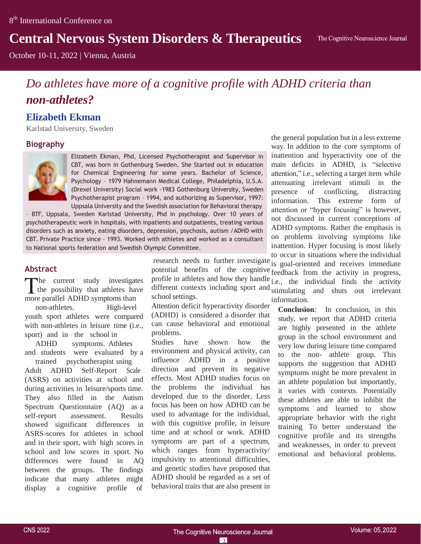# **Central Nervous System Disorders & Therapeutics**

October 10-11, 2022 | Vienna, Austria

# *Do athletes have more of a cognitive profile with ADHD criteria than non-athletes?*

# **Elizabeth Ekman**

Karlstad University, Sweden

## **Biography**



Elizabeth Ekman, Phd, Licensed Psychotherapist and Supervisor in CBT, was born in Gothenburg Sweden. She Started out in education for Chemical Engineering for some years. Bachelor of Science, Psychology – 1979 Hahnemann Medical College, Philadelphia, U.S.A. (Drexel University) Social work -1983 Gothenburg University, Sweden Psychotherapist program – 1994, and authorizing as Supervisor, 1997: Uppsala University and the Swedish association for Behavioral therapy

psychotherapeutic work in hospitals, with inpatients and outpatients, treating various – BTF, Uppsala, Sweden Karlstad University, Phd in psychology. Over 10 years of disorders such as anxiety, eating disorders, depression, psychosis, autism /ADHD with CBT. Private Practice since – 1993. Worked with athletes and worked as a consultant to National sports federation and Swedish Olympic Committee.

### **Abstract**

he current study investigates the possibility that athletes have more parallel ADHD symptoms than

non-athletes. High-level youth sport athletes were compared with non-athletes in leisure time (i.e., sport) and in the school in

ADHD symptoms. Athletes and students were evaluated by a trained psychotherapist using

Adult ADHD Self-Report Scale (ASRS) on activities at school and during activities in leisure/sports time. They also filled in the Autism Spectrum Questionnaire (AQ) as a self-report assessment. Results showed significant differences in ASRS-scores for athletes in school and in their sport, with high scores in school and low scores in sport. No differences were found in AQ between the groups. The findings indicate that many athletes might display a cognitive profile of

research needs to further investigate potential benefits of the cognitive profile in athletes and how they handle school settings.

Attention deficit hyperactivity disorder (ADHD) is considered a disorder that can cause behavioral and emotional problems.

Studies have shown how the environment and physical activity, can influence ADHD in a positive direction and prevent its negative effects. Most ADHD studies focus on the problems the individual has developed due to the disorder. Less focus has been on how ADHD can be used to advantage for the individual, with this cognitive profile, in leisure time and at school or work. ADHD symptoms are part of a spectrum, which ranges from hyperactivity/ impulsivity to attentional difficulties, and genetic studies have proposed that ADHD should be regarded as a set of behavioral traits that are also present in

the general population but in a less extreme way. In addition to the core symptoms of inattention and hyperactivity one of the main deficits in ADHD, is "selective attention," i.e., selecting a target item while attenuating irrelevant stimuli in the presence of conflicting, distracting information. This extreme form of attention or "hyper focusing" is however, not discussed in current conceptions of ADHD symptoms. Rather the emphasis is on problems involving symptoms like inattention. Hyper focusing is most likely to occur in situations where the individual

different contexts including sport and stimulating and shuts out irrelevant is goal-oriented and receives immediate feedback from the activity in progress, i.e., the individual finds the activity information.

**Conclusion**: In conclusion, in this study, we report that ADHD criteria are highly presented in the athlete group in the school environment and very low during leisure time compared to the non- athlete group. This supports the suggestion that ADHD symptoms might be more prevalent in an athlete population but importantly, it varies with contexts. Potentially these athletes are able to inhibit the symptoms and learned to show appropriate behavior with the right training To better understand the cognitive profile and its strengths and weaknesses, in order to prevent emotional and behavioral problems.